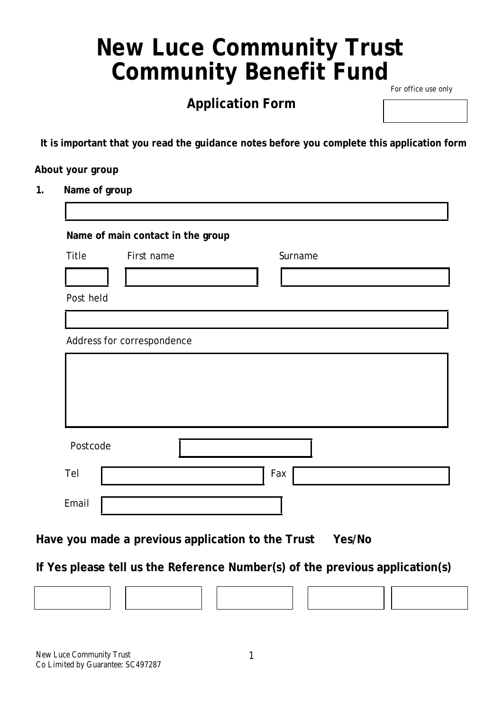# **New Luce Community Trust Community Benefit Fund**

# **Application Form**

For office use only

**It is important that you read the guidance notes before you complete this application form**

#### **About your group**

**1. Name of group**

|           | Name of main contact in the group |         |
|-----------|-----------------------------------|---------|
| Title     | First name                        | Surname |
|           |                                   |         |
| Post held |                                   |         |
|           |                                   |         |
|           | Address for correspondence        |         |
|           |                                   |         |
|           |                                   |         |
|           |                                   |         |
|           |                                   |         |
| Postcode  |                                   |         |
| Tel       |                                   | Fax     |
| Email     |                                   |         |

**Have you made a previous application to the Trust Yes/No**

**If Yes please tell us the Reference Number(s) of the previous application(s)**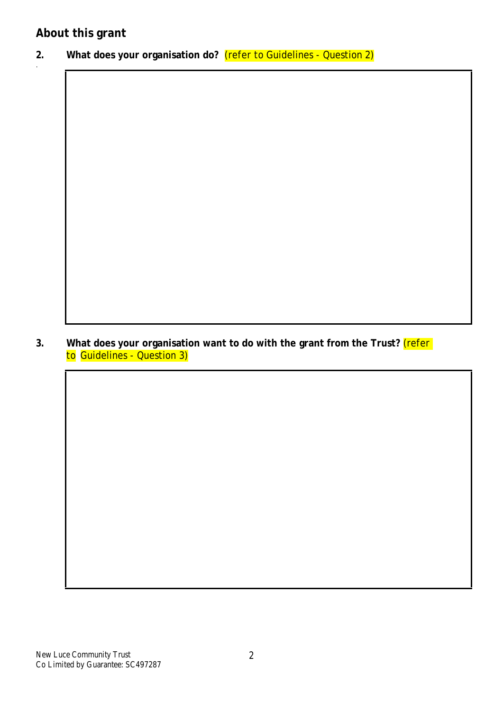.

**2. What does your organisation do?** (refer to Guidelines - Question 2)

**3. What does your organisation want to do with the grant from the Trust?** (refer to Guidelines - Question 3)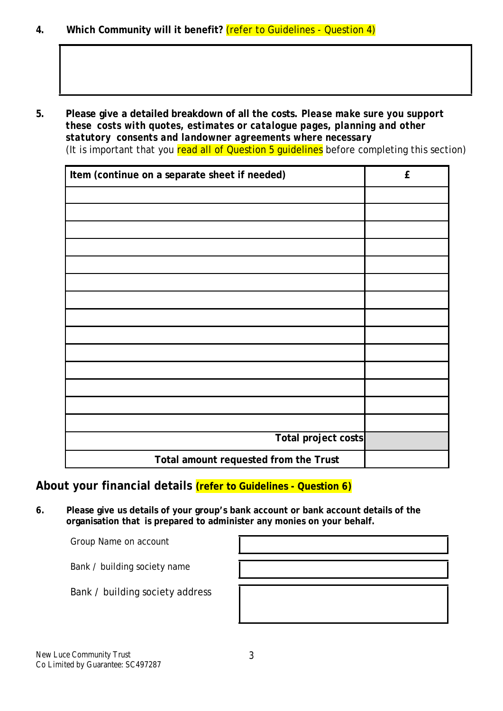**4. Which Community will it benefit?** (refer to Guidelines - Question 4)

**5. Please give a detailed breakdown of all the costs.** *Please make sure you support these costs with quotes, estimates or catalogue pages, planning and other statutory consents and landowner agreements where necessary* (It is important that you read all of Question 5 quidelines before completing this section)

| Item (continue on a separate sheet if needed) | ${\bf f}$ |
|-----------------------------------------------|-----------|
|                                               |           |
|                                               |           |
|                                               |           |
|                                               |           |
|                                               |           |
|                                               |           |
|                                               |           |
|                                               |           |
|                                               |           |
|                                               |           |
|                                               |           |
|                                               |           |
|                                               |           |
|                                               |           |
| Total project costs                           |           |
| Total amount requested from the Trust         |           |

**About your financial details (refer to Guidelines - Question 6)**

**6. Please give us details of your group's bank account or bank account details of the organisation that is prepared to administer any monies on your behalf.**

Group Name on account

Bank / building society name

Bank / building society address

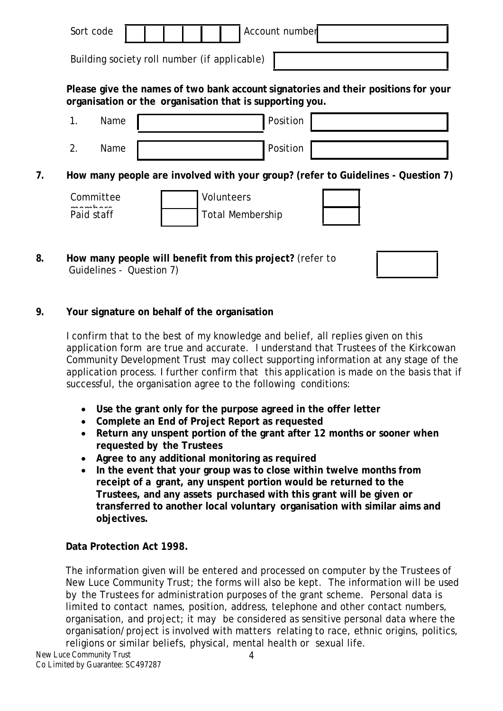| Sort code                                    |  |  | Account number |
|----------------------------------------------|--|--|----------------|
|                                              |  |  |                |
| Building society roll number (if applicable) |  |  |                |

**Please give the names of two bank account signatories and their positions for your organisation or the organisation that is supporting you.**

| ◢<br>. . | Name | Position |  |
|----------|------|----------|--|
|          | Name | Position |  |

**7. How many people are involved with your group? (refer to Guidelines - Question 7)**

| Committee<br>لمعرام والممرام لممر | <b>Volunteers</b> |
|-----------------------------------|-------------------|
| Paid staff                        | Total Membership  |

**8. How many people will benefit from this project?** (refer to Guidelines - Question 7)

## **9. Your signature on behalf of the organisation**

I confirm that to the best of my knowledge and belief, all replies given on this application form are true and accurate. I understand that Trustees of the Kirkcowan Community Development Trust may collect supporting information at any stage of the application process. I further confirm that this application is made on the basis that if successful, the organisation agree to the following conditions:

- **Use the grant only for the purpose agreed in the offer letter**
- **Complete an End of Project Report as requested**
- **Return any unspent portion of the grant after 12 months or sooner when requested by the Trustees**
- **Agree to any additional monitoring as required**
- **In the event that your group was to close within twelve months from receipt of a grant, any unspent portion would be returned to the Trustees, and any assets purchased with this grant will be given or transferred to another local voluntary organisation with similar aims and objectives.**

## **Data Protection Act 1998.**

The information given will be entered and processed on computer by the Trustees of New Luce Community Trust; the forms will also be kept. The information will be used by the Trustees for administration purposes of the grant scheme. Personal data is limited to contact names, position, address, telephone and other contact numbers, organisation, and project; it may be considered as sensitive personal data where the organisation/project is involved with matters relating to race, ethnic origins, politics, religions or similar beliefs, physical, mental health or sexual life.